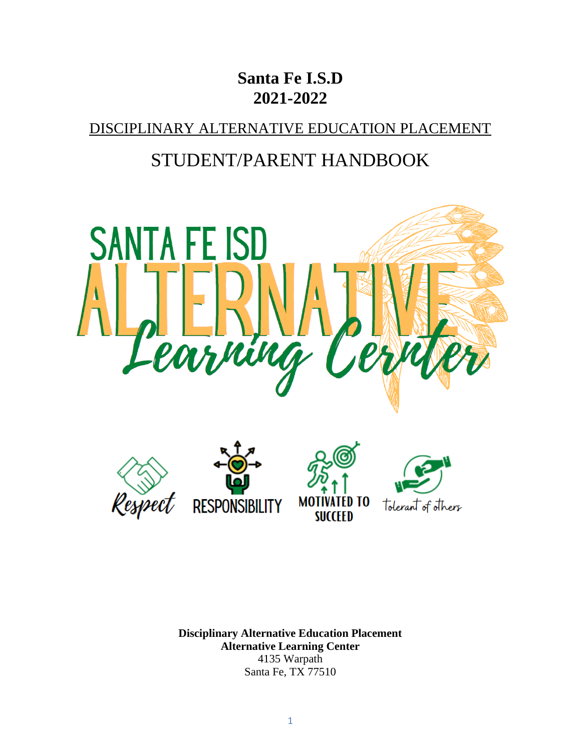# **Santa Fe I.S.D 2021-2022**

DISCIPLINARY ALTERNATIVE EDUCATION PLACEMENT

# STUDENT/PARENT HANDBOOK



**Disciplinary Alternative Education Placement Alternative Learning Center** 4135 Warpath Santa Fe, TX 77510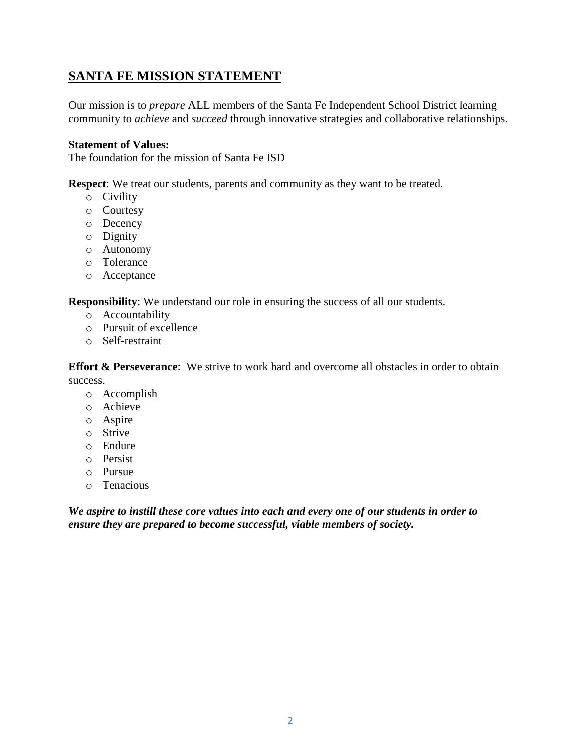# **SANTA FE MISSION STATEMENT**

Our mission is to *prepare* ALL members of the Santa Fe Independent School District learning community to *achieve* and *succeed* through innovative strategies and collaborative relationships.

#### **Statement of Values:**

The foundation for the mission of Santa Fe ISD

**Respect**: We treat our students, parents and community as they want to be treated.

- o Civility
- o Courtesy
- o Decency
- o Dignity
- o Autonomy
- o Tolerance
- o Acceptance

**Responsibility**: We understand our role in ensuring the success of all our students.

- o Accountability
- o Pursuit of excellence
- o Self-restraint

**Effort & Perseverance**: We strive to work hard and overcome all obstacles in order to obtain success.

- o Accomplish
- o Achieve
- o Aspire
- o Strive
- o Endure
- o Persist
- o Pursue
- o Tenacious

*We aspire to instill these core values into each and every one of our students in order to ensure they are prepared to become successful, viable members of society.*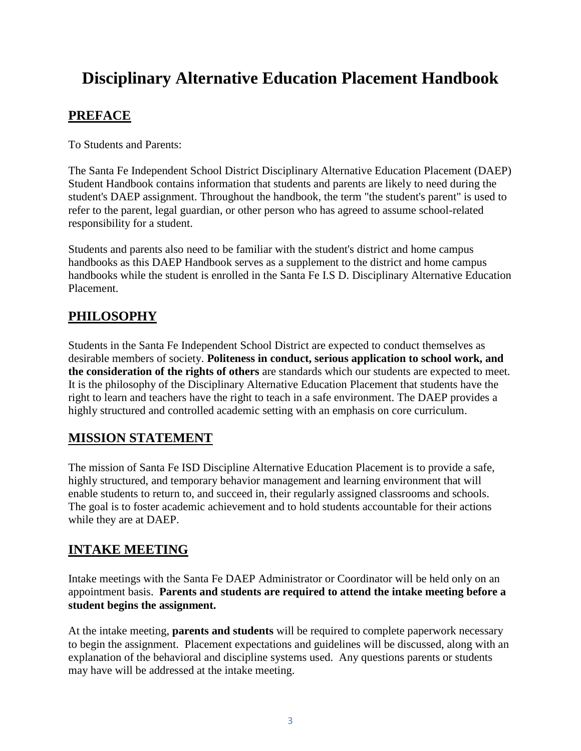# **Disciplinary Alternative Education Placement Handbook**

# **PREFACE**

To Students and Parents:

The Santa Fe Independent School District Disciplinary Alternative Education Placement (DAEP) Student Handbook contains information that students and parents are likely to need during the student's DAEP assignment. Throughout the handbook, the term "the student's parent" is used to refer to the parent, legal guardian, or other person who has agreed to assume school-related responsibility for a student.

Students and parents also need to be familiar with the student's district and home campus handbooks as this DAEP Handbook serves as a supplement to the district and home campus handbooks while the student is enrolled in the Santa Fe I.S D. Disciplinary Alternative Education Placement.

## **PHILOSOPHY**

Students in the Santa Fe Independent School District are expected to conduct themselves as desirable members of society. **Politeness in conduct, serious application to school work, and the consideration of the rights of others** are standards which our students are expected to meet. It is the philosophy of the Disciplinary Alternative Education Placement that students have the right to learn and teachers have the right to teach in a safe environment. The DAEP provides a highly structured and controlled academic setting with an emphasis on core curriculum.

## **MISSION STATEMENT**

The mission of Santa Fe ISD Discipline Alternative Education Placement is to provide a safe, highly structured, and temporary behavior management and learning environment that will enable students to return to, and succeed in, their regularly assigned classrooms and schools. The goal is to foster academic achievement and to hold students accountable for their actions while they are at DAEP.

# **INTAKE MEETING**

Intake meetings with the Santa Fe DAEP Administrator or Coordinator will be held only on an appointment basis. **Parents and students are required to attend the intake meeting before a student begins the assignment.**

At the intake meeting, **parents and students** will be required to complete paperwork necessary to begin the assignment. Placement expectations and guidelines will be discussed, along with an explanation of the behavioral and discipline systems used. Any questions parents or students may have will be addressed at the intake meeting.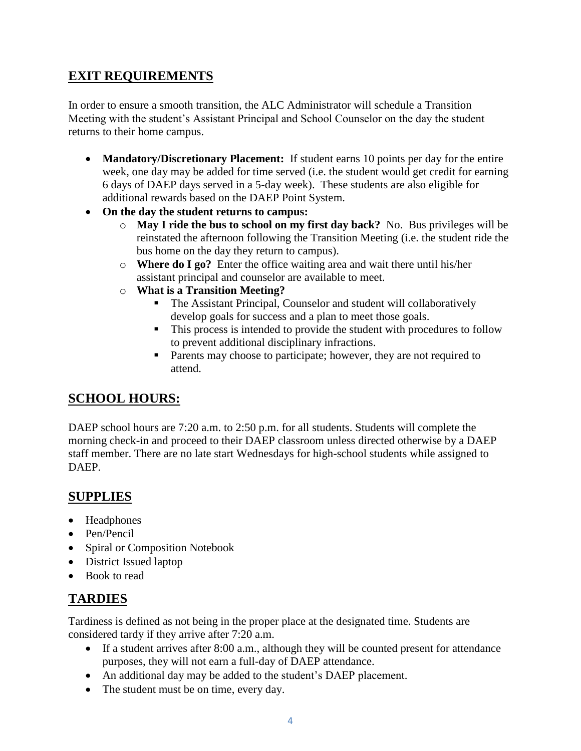## **EXIT REQUIREMENTS**

In order to ensure a smooth transition, the ALC Administrator will schedule a Transition Meeting with the student's Assistant Principal and School Counselor on the day the student returns to their home campus.

- **Mandatory/Discretionary Placement:** If student earns 10 points per day for the entire week, one day may be added for time served (i.e. the student would get credit for earning 6 days of DAEP days served in a 5-day week). These students are also eligible for additional rewards based on the DAEP Point System.
- **On the day the student returns to campus:**
	- o **May I ride the bus to school on my first day back?** No. Bus privileges will be reinstated the afternoon following the Transition Meeting (i.e. the student ride the bus home on the day they return to campus).
	- o **Where do I go?** Enter the office waiting area and wait there until his/her assistant principal and counselor are available to meet.
	- o **What is a Transition Meeting?**
		- The Assistant Principal, Counselor and student will collaboratively develop goals for success and a plan to meet those goals.
		- This process is intended to provide the student with procedures to follow to prevent additional disciplinary infractions.
		- **Parents may choose to participate; however, they are not required to** attend.

#### **SCHOOL HOURS:**

DAEP school hours are 7:20 a.m. to 2:50 p.m. for all students. Students will complete the morning check-in and proceed to their DAEP classroom unless directed otherwise by a DAEP staff member. There are no late start Wednesdays for high-school students while assigned to DAEP.

#### **SUPPLIES**

- Headphones
- Pen/Pencil
- Spiral or Composition Notebook
- District Issued laptop
- Book to read

## **TARDIES**

Tardiness is defined as not being in the proper place at the designated time. Students are considered tardy if they arrive after 7:20 a.m.

- If a student arrives after 8:00 a.m., although they will be counted present for attendance purposes, they will not earn a full-day of DAEP attendance.
- An additional day may be added to the student's DAEP placement.
- The student must be on time, every day.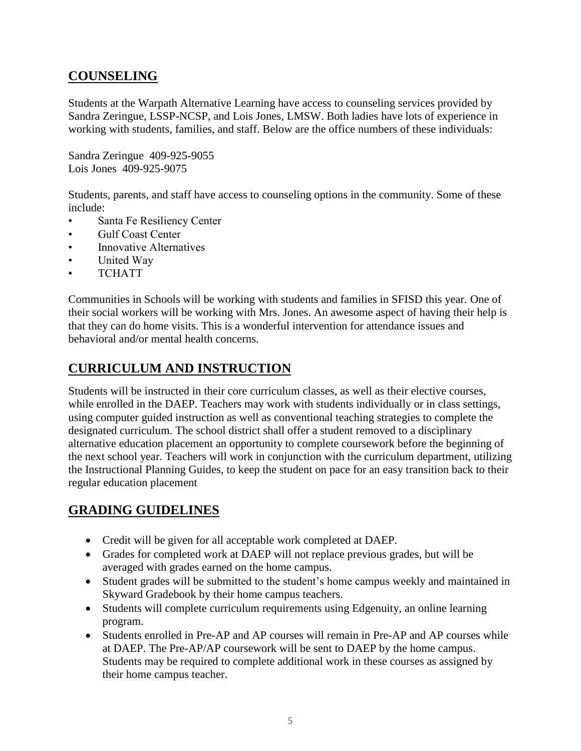# **COUNSELING**

Students at the Warpath Alternative Learning have access to counseling services provided by Sandra Zeringue, LSSP-NCSP, and Lois Jones, LMSW. Both ladies have lots of experience in working with students, families, and staff. Below are the office numbers of these individuals:

Sandra Zeringue 409-925-9055 Lois Jones 409-925-9075

Students, parents, and staff have access to counseling options in the community. Some of these include:

- Santa Fe Resiliency Center
- Gulf Coast Center
- Innovative Alternatives
- United Way
- TCHATT

Communities in Schools will be working with students and families in SFISD this year. One of their social workers will be working with Mrs. Jones. An awesome aspect of having their help is that they can do home visits. This is a wonderful intervention for attendance issues and behavioral and/or mental health concerns.

# **CURRICULUM AND INSTRUCTION**

Students will be instructed in their core curriculum classes, as well as their elective courses, while enrolled in the DAEP. Teachers may work with students individually or in class settings, using computer guided instruction as well as conventional teaching strategies to complete the designated curriculum. The school district shall offer a student removed to a disciplinary alternative education placement an opportunity to complete coursework before the beginning of the next school year. Teachers will work in conjunction with the curriculum department, utilizing the Instructional Planning Guides, to keep the student on pace for an easy transition back to their regular education placement

# **GRADING GUIDELINES**

- Credit will be given for all acceptable work completed at DAEP.
- Grades for completed work at DAEP will not replace previous grades, but will be averaged with grades earned on the home campus.
- Student grades will be submitted to the student's home campus weekly and maintained in Skyward Gradebook by their home campus teachers.
- Students will complete curriculum requirements using Edgenuity, an online learning program.
- Students enrolled in Pre-AP and AP courses will remain in Pre-AP and AP courses while at DAEP. The Pre-AP/AP coursework will be sent to DAEP by the home campus. Students may be required to complete additional work in these courses as assigned by their home campus teacher.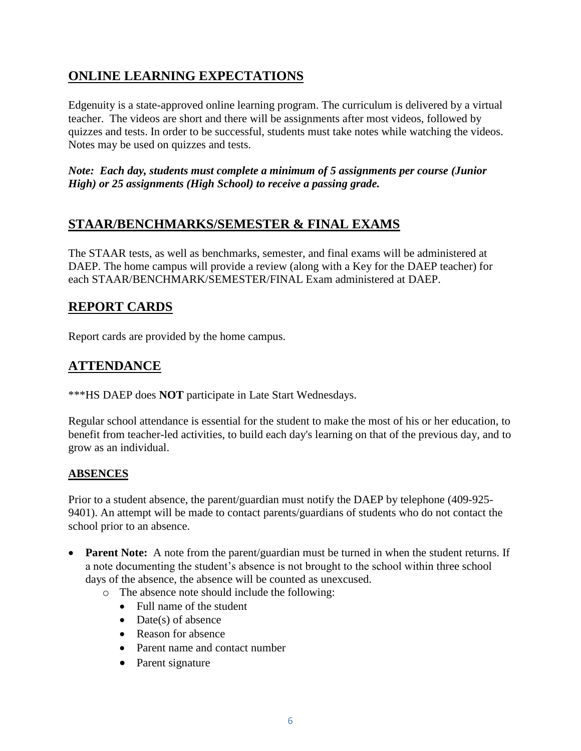# **ONLINE LEARNING EXPECTATIONS**

Edgenuity is a state-approved online learning program. The curriculum is delivered by a virtual teacher. The videos are short and there will be assignments after most videos, followed by quizzes and tests. In order to be successful, students must take notes while watching the videos. Notes may be used on quizzes and tests.

*Note: Each day, students must complete a minimum of 5 assignments per course (Junior High) or 25 assignments (High School) to receive a passing grade.* 

## **STAAR/BENCHMARKS/SEMESTER & FINAL EXAMS**

The STAAR tests, as well as benchmarks, semester, and final exams will be administered at DAEP. The home campus will provide a review (along with a Key for the DAEP teacher) for each STAAR/BENCHMARK/SEMESTER/FINAL Exam administered at DAEP.

## **REPORT CARDS**

Report cards are provided by the home campus.

# **ATTENDANCE**

\*\*\*HS DAEP does **NOT** participate in Late Start Wednesdays.

Regular school attendance is essential for the student to make the most of his or her education, to benefit from teacher-led activities, to build each day's learning on that of the previous day, and to grow as an individual.

#### **ABSENCES**

Prior to a student absence, the parent/guardian must notify the DAEP by telephone (409-925- 9401). An attempt will be made to contact parents/guardians of students who do not contact the school prior to an absence.

- **Parent Note:** A note from the parent/guardian must be turned in when the student returns. If a note documenting the student's absence is not brought to the school within three school days of the absence, the absence will be counted as unexcused.
	- o The absence note should include the following:
		- Full name of the student
		- $\bullet$  Date(s) of absence
		- Reason for absence
		- Parent name and contact number
		- Parent signature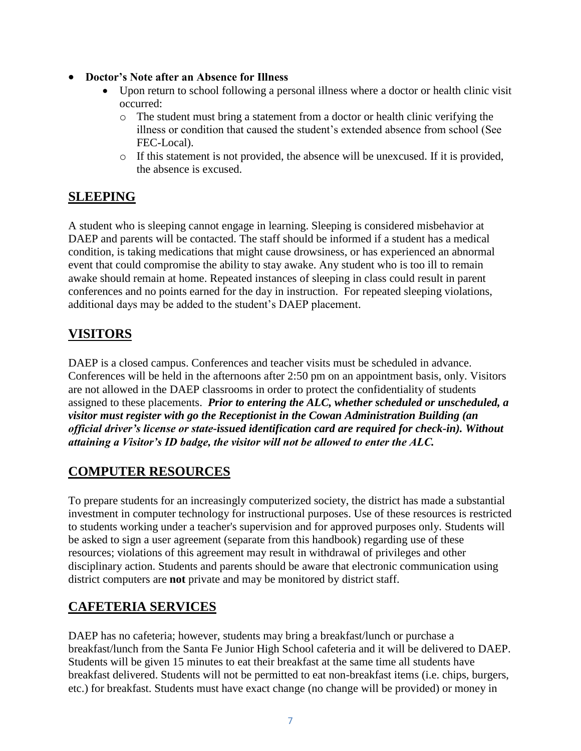- **Doctor's Note after an Absence for Illness** 
	- Upon return to school following a personal illness where a doctor or health clinic visit occurred:
		- $\circ$  The student must bring a statement from a doctor or health clinic verifying the illness or condition that caused the student's extended absence from school (See FEC-Local).
		- o If this statement is not provided, the absence will be unexcused. If it is provided, the absence is excused.

## **SLEEPING**

A student who is sleeping cannot engage in learning. Sleeping is considered misbehavior at DAEP and parents will be contacted. The staff should be informed if a student has a medical condition, is taking medications that might cause drowsiness, or has experienced an abnormal event that could compromise the ability to stay awake. Any student who is too ill to remain awake should remain at home. Repeated instances of sleeping in class could result in parent conferences and no points earned for the day in instruction. For repeated sleeping violations, additional days may be added to the student's DAEP placement.

# **VISITORS**

DAEP is a closed campus. Conferences and teacher visits must be scheduled in advance. Conferences will be held in the afternoons after 2:50 pm on an appointment basis, only. Visitors are not allowed in the DAEP classrooms in order to protect the confidentiality of students assigned to these placements. *Prior to entering the ALC, whether scheduled or unscheduled, a visitor must register with go the Receptionist in the Cowan Administration Building (an official driver's license or state-issued identification card are required for check-in). Without attaining a Visitor's ID badge, the visitor will not be allowed to enter the ALC.* 

## **COMPUTER RESOURCES**

To prepare students for an increasingly computerized society, the district has made a substantial investment in computer technology for instructional purposes. Use of these resources is restricted to students working under a teacher's supervision and for approved purposes only. Students will be asked to sign a user agreement (separate from this handbook) regarding use of these resources; violations of this agreement may result in withdrawal of privileges and other disciplinary action. Students and parents should be aware that electronic communication using district computers are **not** private and may be monitored by district staff.

# **CAFETERIA SERVICES**

DAEP has no cafeteria; however, students may bring a breakfast/lunch or purchase a breakfast/lunch from the Santa Fe Junior High School cafeteria and it will be delivered to DAEP. Students will be given 15 minutes to eat their breakfast at the same time all students have breakfast delivered. Students will not be permitted to eat non-breakfast items (i.e. chips, burgers, etc.) for breakfast. Students must have exact change (no change will be provided) or money in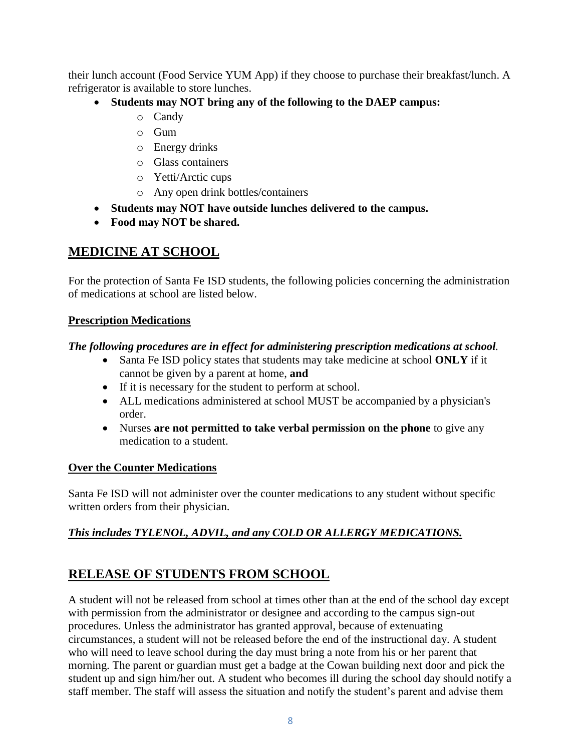their lunch account (Food Service YUM App) if they choose to purchase their breakfast/lunch. A refrigerator is available to store lunches.

- **Students may NOT bring any of the following to the DAEP campus:**
	- o Candy
	- o Gum
	- o Energy drinks
	- o Glass containers
	- o Yetti/Arctic cups
	- o Any open drink bottles/containers
- **Students may NOT have outside lunches delivered to the campus.**
- **Food may NOT be shared.**

#### **MEDICINE AT SCHOOL**

For the protection of Santa Fe ISD students, the following policies concerning the administration of medications at school are listed below.

#### **Prescription Medications**

#### *The following procedures are in effect for administering prescription medications at school.*

- Santa Fe ISD policy states that students may take medicine at school **ONLY** if it cannot be given by a parent at home, **and**
- If it is necessary for the student to perform at school.
- ALL medications administered at school MUST be accompanied by a physician's order.
- Nurses **are not permitted to take verbal permission on the phone** to give any medication to a student.

#### **Over the Counter Medications**

Santa Fe ISD will not administer over the counter medications to any student without specific written orders from their physician.

#### *This includes TYLENOL, ADVIL, and any COLD OR ALLERGY MEDICATIONS.*

## **RELEASE OF STUDENTS FROM SCHOOL**

A student will not be released from school at times other than at the end of the school day except with permission from the administrator or designee and according to the campus sign-out procedures. Unless the administrator has granted approval, because of extenuating circumstances, a student will not be released before the end of the instructional day. A student who will need to leave school during the day must bring a note from his or her parent that morning. The parent or guardian must get a badge at the Cowan building next door and pick the student up and sign him/her out. A student who becomes ill during the school day should notify a staff member. The staff will assess the situation and notify the student's parent and advise them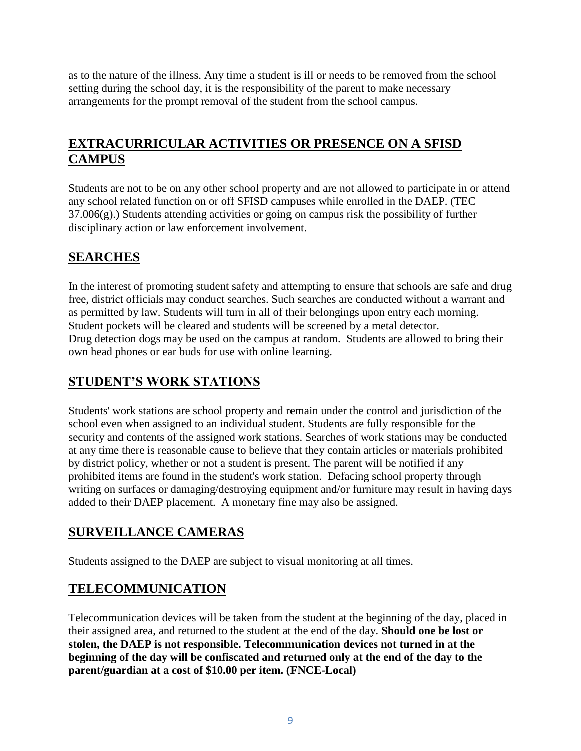as to the nature of the illness. Any time a student is ill or needs to be removed from the school setting during the school day, it is the responsibility of the parent to make necessary arrangements for the prompt removal of the student from the school campus.

# **EXTRACURRICULAR ACTIVITIES OR PRESENCE ON A SFISD CAMPUS**

Students are not to be on any other school property and are not allowed to participate in or attend any school related function on or off SFISD campuses while enrolled in the DAEP. (TEC  $37.006(g)$ .) Students attending activities or going on campus risk the possibility of further disciplinary action or law enforcement involvement.

# **SEARCHES**

In the interest of promoting student safety and attempting to ensure that schools are safe and drug free, district officials may conduct searches. Such searches are conducted without a warrant and as permitted by law. Students will turn in all of their belongings upon entry each morning. Student pockets will be cleared and students will be screened by a metal detector. Drug detection dogs may be used on the campus at random. Students are allowed to bring their own head phones or ear buds for use with online learning.

# **STUDENT'S WORK STATIONS**

Students' work stations are school property and remain under the control and jurisdiction of the school even when assigned to an individual student. Students are fully responsible for the security and contents of the assigned work stations. Searches of work stations may be conducted at any time there is reasonable cause to believe that they contain articles or materials prohibited by district policy, whether or not a student is present. The parent will be notified if any prohibited items are found in the student's work station. Defacing school property through writing on surfaces or damaging/destroying equipment and/or furniture may result in having days added to their DAEP placement. A monetary fine may also be assigned.

## **SURVEILLANCE CAMERAS**

Students assigned to the DAEP are subject to visual monitoring at all times.

# **TELECOMMUNICATION**

Telecommunication devices will be taken from the student at the beginning of the day, placed in their assigned area, and returned to the student at the end of the day. **Should one be lost or stolen, the DAEP is not responsible. Telecommunication devices not turned in at the beginning of the day will be confiscated and returned only at the end of the day to the parent/guardian at a cost of \$10.00 per item. (FNCE-Local)**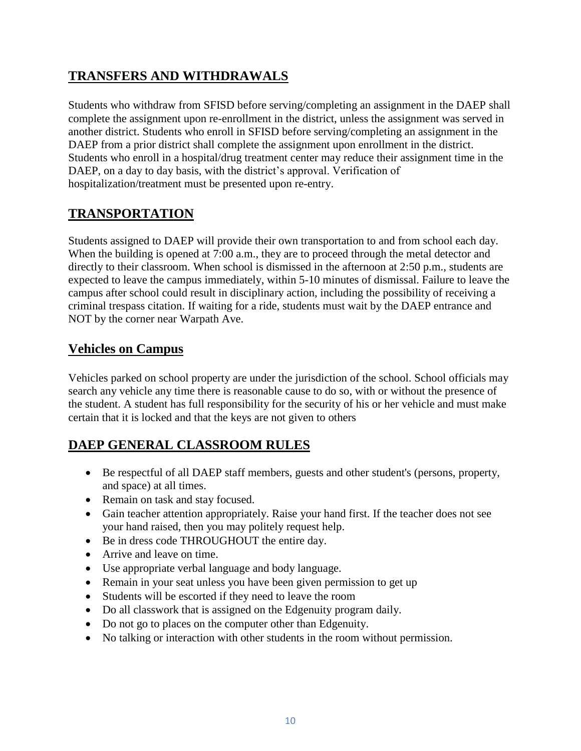# **TRANSFERS AND WITHDRAWALS**

Students who withdraw from SFISD before serving/completing an assignment in the DAEP shall complete the assignment upon re-enrollment in the district, unless the assignment was served in another district. Students who enroll in SFISD before serving/completing an assignment in the DAEP from a prior district shall complete the assignment upon enrollment in the district. Students who enroll in a hospital/drug treatment center may reduce their assignment time in the DAEP, on a day to day basis, with the district's approval. Verification of hospitalization/treatment must be presented upon re-entry.

# **TRANSPORTATION**

Students assigned to DAEP will provide their own transportation to and from school each day. When the building is opened at 7:00 a.m., they are to proceed through the metal detector and directly to their classroom. When school is dismissed in the afternoon at 2:50 p.m., students are expected to leave the campus immediately, within 5-10 minutes of dismissal. Failure to leave the campus after school could result in disciplinary action, including the possibility of receiving a criminal trespass citation. If waiting for a ride, students must wait by the DAEP entrance and NOT by the corner near Warpath Ave.

#### **Vehicles on Campus**

Vehicles parked on school property are under the jurisdiction of the school. School officials may search any vehicle any time there is reasonable cause to do so, with or without the presence of the student. A student has full responsibility for the security of his or her vehicle and must make certain that it is locked and that the keys are not given to others

# **DAEP GENERAL CLASSROOM RULES**

- Be respectful of all DAEP staff members, guests and other student's (persons, property, and space) at all times.
- Remain on task and stay focused.
- Gain teacher attention appropriately. Raise your hand first. If the teacher does not see your hand raised, then you may politely request help.
- Be in dress code THROUGHOUT the entire day.
- Arrive and leave on time.
- Use appropriate verbal language and body language.
- Remain in your seat unless you have been given permission to get up
- Students will be escorted if they need to leave the room
- Do all classwork that is assigned on the Edgenuity program daily.
- Do not go to places on the computer other than Edgenuity.
- No talking or interaction with other students in the room without permission.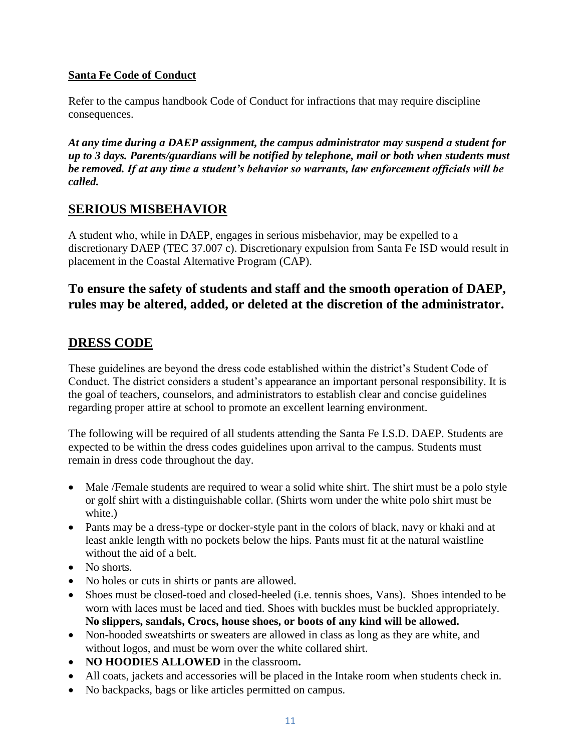#### **Santa Fe Code of Conduct**

Refer to the campus handbook Code of Conduct for infractions that may require discipline consequences.

*At any time during a DAEP assignment, the campus administrator may suspend a student for up to 3 days. Parents/guardians will be notified by telephone, mail or both when students must be removed. If at any time a student's behavior so warrants, law enforcement officials will be called.*

#### **SERIOUS MISBEHAVIOR**

A student who, while in DAEP, engages in serious misbehavior, may be expelled to a discretionary DAEP (TEC 37.007 c). Discretionary expulsion from Santa Fe ISD would result in placement in the Coastal Alternative Program (CAP).

#### **To ensure the safety of students and staff and the smooth operation of DAEP, rules may be altered, added, or deleted at the discretion of the administrator.**

#### **DRESS CODE**

These guidelines are beyond the dress code established within the district's Student Code of Conduct. The district considers a student's appearance an important personal responsibility. It is the goal of teachers, counselors, and administrators to establish clear and concise guidelines regarding proper attire at school to promote an excellent learning environment.

The following will be required of all students attending the Santa Fe I.S.D. DAEP. Students are expected to be within the dress codes guidelines upon arrival to the campus. Students must remain in dress code throughout the day.

- Male /Female students are required to wear a solid white shirt. The shirt must be a polo style or golf shirt with a distinguishable collar. (Shirts worn under the white polo shirt must be white.)
- Pants may be a dress-type or docker-style pant in the colors of black, navy or khaki and at least ankle length with no pockets below the hips. Pants must fit at the natural waistline without the aid of a belt.
- No shorts.
- No holes or cuts in shirts or pants are allowed.
- Shoes must be closed-toed and closed-heeled (i.e. tennis shoes, Vans). Shoes intended to be worn with laces must be laced and tied. Shoes with buckles must be buckled appropriately. **No slippers, sandals, Crocs, house shoes, or boots of any kind will be allowed.**
- Non-hooded sweatshirts or sweaters are allowed in class as long as they are white, and without logos, and must be worn over the white collared shirt.
- **NO HOODIES ALLOWED** in the classroom**.**
- All coats, jackets and accessories will be placed in the Intake room when students check in.
- No backpacks, bags or like articles permitted on campus.